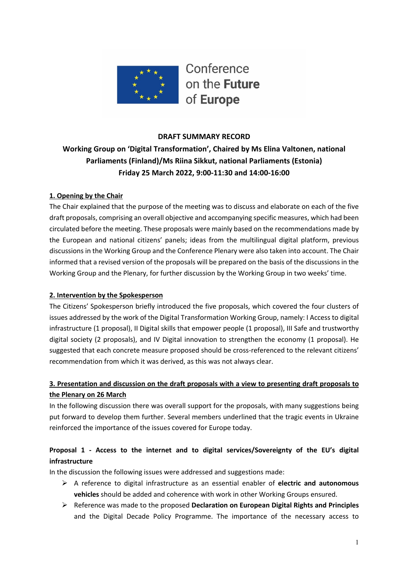

#### **DRAFT SUMMARY RECORD**

# **Working Group on 'Digital Transformation', Chaired by Ms Elina Valtonen, national Parliaments (Finland)/Ms Riina Sikkut, national Parliaments (Estonia) Friday 25 March 2022, 9:00-11:30 and 14:00-16:00**

#### **1. Opening by the Chair**

The Chair explained that the purpose of the meeting was to discuss and elaborate on each of the five draft proposals, comprising an overall objective and accompanying specific measures, which had been circulated before the meeting. These proposals were mainly based on the recommendations made by the European and national citizens' panels; ideas from the multilingual digital platform, previous discussions in the Working Group and the Conference Plenary were also taken into account. The Chair informed that a revised version of the proposals will be prepared on the basis of the discussions in the Working Group and the Plenary, for further discussion by the Working Group in two weeks' time.

#### **2. Intervention by the Spokesperson**

The Citizens' Spokesperson briefly introduced the five proposals, which covered the four clusters of issues addressed by the work of the Digital Transformation Working Group, namely: I Access to digital infrastructure (1 proposal), II Digital skills that empower people (1 proposal), III Safe and trustworthy digital society (2 proposals), and IV Digital innovation to strengthen the economy (1 proposal). He suggested that each concrete measure proposed should be cross-referenced to the relevant citizens' recommendation from which it was derived, as this was not always clear.

# **3. Presentation and discussion on the draft proposals with a view to presenting draft proposals to the Plenary on 26 March**

In the following discussion there was overall support for the proposals, with many suggestions being put forward to develop them further. Several members underlined that the tragic events in Ukraine reinforced the importance of the issues covered for Europe today.

# **Proposal 1 - Access to the internet and to digital services/Sovereignty of the EU's digital infrastructure**

- Ø A reference to digital infrastructure as an essential enabler of **electric and autonomous vehicles** should be added and coherence with work in other Working Groups ensured.
- Ø Reference was made to the proposed **Declaration on European Digital Rights and Principles** and the Digital Decade Policy Programme. The importance of the necessary access to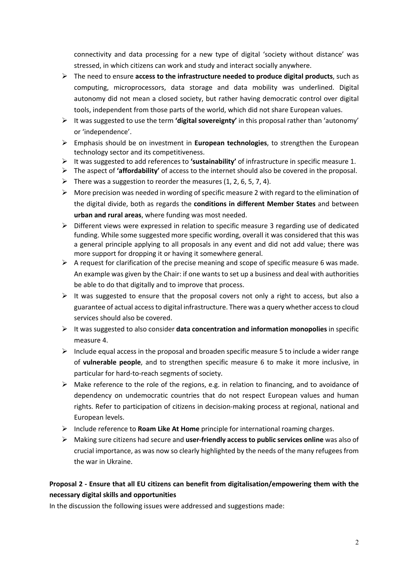connectivity and data processing for a new type of digital 'society without distance' was stressed, in which citizens can work and study and interact socially anywhere.

- Ø The need to ensure **access to the infrastructure needed to produce digital products**, such as computing, microprocessors, data storage and data mobility was underlined. Digital autonomy did not mean a closed society, but rather having democratic control over digital tools, independent from those parts of the world, which did not share European values.
- $\triangleright$  It was suggested to use the term **'digital sovereignty'** in this proposal rather than 'autonomy' or 'independence'.
- Ø Emphasis should be on investment in **European technologies**, to strengthen the European technology sector and its competitiveness.
- Ø It was suggested to add references to **'sustainability'** of infrastructure in specific measure 1.
- Ø The aspect of **'affordability'** of access to the internet should also be covered in the proposal.
- $\triangleright$  There was a suggestion to reorder the measures (1, 2, 6, 5, 7, 4).
- $\triangleright$  More precision was needed in wording of specific measure 2 with regard to the elimination of the digital divide, both as regards the **conditions in different Member States** and between **urban and rural areas**, where funding was most needed.
- $\triangleright$  Different views were expressed in relation to specific measure 3 regarding use of dedicated funding. While some suggested more specific wording, overall it was considered that this was a general principle applying to all proposals in any event and did not add value; there was more support for dropping it or having it somewhere general.
- $\triangleright$  A request for clarification of the precise meaning and scope of specific measure 6 was made. An example was given by the Chair: if one wants to set up a business and deal with authorities be able to do that digitally and to improve that process.
- $\triangleright$  It was suggested to ensure that the proposal covers not only a right to access, but also a guarantee of actual access to digital infrastructure. There was a query whether access to cloud services should also be covered.
- $\triangleright$  It was suggested to also consider **data concentration and information monopolies** in specific measure 4.
- $\triangleright$  Include equal access in the proposal and broaden specific measure 5 to include a wider range of **vulnerable people**, and to strengthen specific measure 6 to make it more inclusive, in particular for hard-to-reach segments of society.
- $\triangleright$  Make reference to the role of the regions, e.g. in relation to financing, and to avoidance of dependency on undemocratic countries that do not respect European values and human rights. Refer to participation of citizens in decision-making process at regional, national and European levels.
- Ø Include reference to **Roam Like At Home** principle for international roaming charges.
- Ø Making sure citizens had secure and **user-friendly access to public services online** was also of crucial importance, as was now so clearly highlighted by the needs of the many refugees from the war in Ukraine.

# **Proposal 2 - Ensure that all EU citizens can benefit from digitalisation/empowering them with the necessary digital skills and opportunities**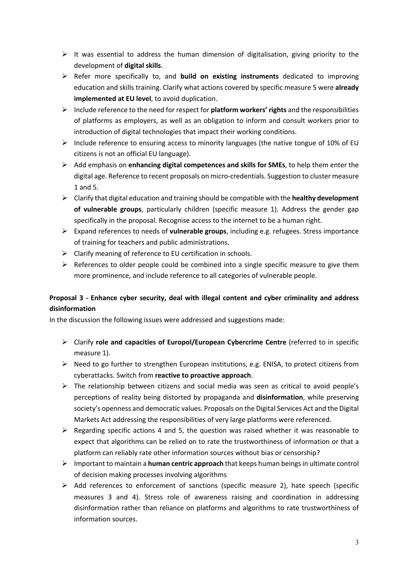- $\triangleright$  It was essential to address the human dimension of digitalisation, giving priority to the development of **digital skills**.
- Ø Refer more specifically to, and **build on existing instruments** dedicated to improving education and skills training. Clarify what actions covered by specific measure 5 were **already implemented at EU level**, to avoid duplication.
- $\triangleright$  Include reference to the need for respect for **platform workers' rights** and the responsibilities of platforms as employers, as well as an obligation to inform and consult workers prior to introduction of digital technologies that impact their working conditions.
- $\triangleright$  Include reference to ensuring access to minority languages (the native tongue of 10% of EU citizens is not an official EU language).
- $\triangleright$  Add emphasis on **enhancing digital competences and skills for SMEs**, to help them enter the digital age. Reference to recent proposals on micro-credentials. Suggestion to cluster measure 1 and 5.
- Ø Clarify that digital education and training should be compatible with the **healthy development of vulnerable groups**, particularly children (specific measure 1). Address the gender gap specifically in the proposal. Recognise access to the internet to be a human right.
- Ø Expand references to needs of **vulnerable groups**, including e.g. refugees. Stress importance of training for teachers and public administrations.
- $\triangleright$  Clarify meaning of reference to EU certification in schools.
- $\triangleright$  References to older people could be combined into a single specific measure to give them more prominence, and include reference to all categories of vulnerable people.

# **Proposal 3 - Enhance cyber security, deal with illegal content and cyber criminality and address disinformation**

- Ø Clarify **role and capacities of Europol/European Cybercrime Centre** (referred to in specific measure 1).
- $\triangleright$  Need to go further to strengthen European institutions, e.g. ENISA, to protect citizens from cyberattacks. Switch from **reactive to proactive approach**.
- $\triangleright$  The relationship between citizens and social media was seen as critical to avoid people's perceptions of reality being distorted by propaganda and **disinformation**, while preserving society's openness and democratic values. Proposals on the Digital Services Act and the Digital Markets Act addressing the responsibilities of very large platforms were referenced.
- $\triangleright$  Regarding specific actions 4 and 5, the question was raised whether it was reasonable to expect that algorithms can be relied on to rate the trustworthiness of information or that a platform can reliably rate other information sources without bias or censorship?
- Ø Important to maintain a **human centric approach** that keeps human beings in ultimate control of decision making processes involving algorithms
- $\triangleright$  Add references to enforcement of sanctions (specific measure 2), hate speech (specific measures 3 and 4). Stress role of awareness raising and coordination in addressing disinformation rather than reliance on platforms and algorithms to rate trustworthiness of information sources.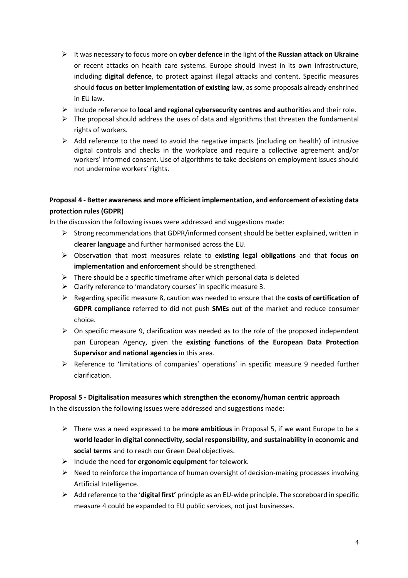- Ø It was necessary to focus more on **cyber defence** in the light of **the Russian attack on Ukraine** or recent attacks on health care systems. Europe should invest in its own infrastructure, including **digital defence**, to protect against illegal attacks and content. Specific measures should **focus on better implementation of existing law**, as some proposals already enshrined in EU law.
- Ø Include reference to **local and regional cybersecurity centres and authoriti**es and their role.
- $\triangleright$  The proposal should address the uses of data and algorithms that threaten the fundamental rights of workers.
- $\triangleright$  Add reference to the need to avoid the negative impacts (including on health) of intrusive digital controls and checks in the workplace and require a collective agreement and/or workers' informed consent. Use of algorithms to take decisions on employment issues should not undermine workers' rights.

### **Proposal 4 - Better awareness and more efficient implementation, and enforcement of existing data protection rules (GDPR)**

In the discussion the following issues were addressed and suggestions made:

- $\triangleright$  Strong recommendations that GDPR/informed consent should be better explained, written in c**learer language** and further harmonised across the EU.
- Ø Observation that most measures relate to **existing legal obligations** and that **focus on implementation and enforcement** should be strengthened.
- $\triangleright$  There should be a specific timeframe after which personal data is deleted
- $\triangleright$  Clarify reference to 'mandatory courses' in specific measure 3.
- Ø Regarding specific measure 8, caution was needed to ensure that the **costs of certification of GDPR compliance** referred to did not push **SMEs** out of the market and reduce consumer choice.
- $\triangleright$  On specific measure 9, clarification was needed as to the role of the proposed independent pan European Agency, given the **existing functions of the European Data Protection Supervisor and national agencies** in this area.
- $\triangleright$  Reference to 'limitations of companies' operations' in specific measure 9 needed further clarification.

#### **Proposal 5 - Digitalisation measures which strengthen the economy/human centric approach**

- Ø There was a need expressed to be **more ambitious** in Proposal 5, if we want Europe to be a **world leader in digital connectivity, social responsibility, and sustainability in economic and social terms** and to reach our Green Deal objectives.
- Ø Include the need for **ergonomic equipment** for telework.
- $\triangleright$  Need to reinforce the importance of human oversight of decision-making processes involving Artificial Intelligence.
- Ø Add reference to the '**digital first'** principle as an EU-wide principle. The scoreboard in specific measure 4 could be expanded to EU public services, not just businesses.